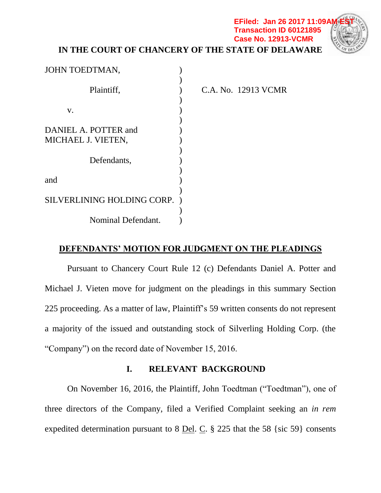### **IN THE COURT OF CHANCERY OF THE STATE OF DELAWARE EFiled: Jan 26 2017 11:09A Transaction ID 60121895 Case No. 12913-VCMR**



| JOHN TOEDTMAN,             |  |
|----------------------------|--|
|                            |  |
| Plaintiff,                 |  |
|                            |  |
| V.                         |  |
|                            |  |
| DANIEL A. POTTER and       |  |
| MICHAEL J. VIETEN,         |  |
|                            |  |
| Defendants,                |  |
|                            |  |
| and                        |  |
|                            |  |
| SILVERLINING HOLDING CORP. |  |
|                            |  |
| Nominal Defendant.         |  |

**A. No. 12913 VCMR** 

## **DEFENDANTS' MOTION FOR JUDGMENT ON THE PLEADINGS**

Pursuant to Chancery Court Rule 12 (c) Defendants Daniel A. Potter and Michael J. Vieten move for judgment on the pleadings in this summary Section 225 proceeding. As a matter of law, Plaintiff's 59 written consents do not represent a majority of the issued and outstanding stock of Silverling Holding Corp. (the "Company") on the record date of November 15, 2016.

### **I. RELEVANT BACKGROUND**

On November 16, 2016, the Plaintiff, John Toedtman ("Toedtman"), one of three directors of the Company, filed a Verified Complaint seeking an *in rem* expedited determination pursuant to 8 Del. C. § 225 that the 58 {sic 59} consents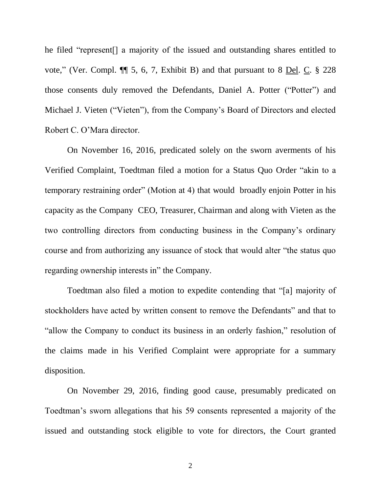he filed "represent[] a majority of the issued and outstanding shares entitled to vote," (Ver. Compl. ¶¶ 5, 6, 7, Exhibit B) and that pursuant to 8 Del. C. § 228 those consents duly removed the Defendants, Daniel A. Potter ("Potter") and Michael J. Vieten ("Vieten"), from the Company's Board of Directors and elected Robert C. O'Mara director.

On November 16, 2016, predicated solely on the sworn averments of his Verified Complaint, Toedtman filed a motion for a Status Quo Order "akin to a temporary restraining order" (Motion at 4) that would broadly enjoin Potter in his capacity as the Company CEO, Treasurer, Chairman and along with Vieten as the two controlling directors from conducting business in the Company's ordinary course and from authorizing any issuance of stock that would alter "the status quo regarding ownership interests in" the Company.

Toedtman also filed a motion to expedite contending that "[a] majority of stockholders have acted by written consent to remove the Defendants" and that to "allow the Company to conduct its business in an orderly fashion," resolution of the claims made in his Verified Complaint were appropriate for a summary disposition.

On November 29, 2016, finding good cause, presumably predicated on Toedtman's sworn allegations that his 59 consents represented a majority of the issued and outstanding stock eligible to vote for directors, the Court granted

2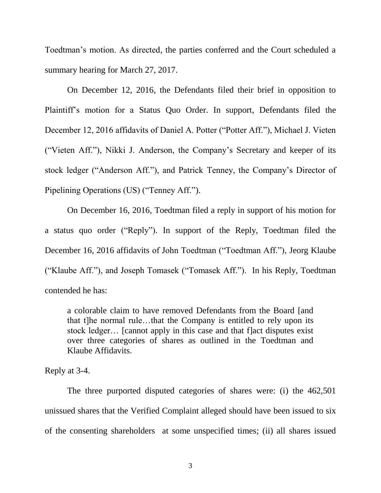Toedtman's motion. As directed, the parties conferred and the Court scheduled a summary hearing for March 27, 2017.

On December 12, 2016, the Defendants filed their brief in opposition to Plaintiff's motion for a Status Quo Order. In support, Defendants filed the December 12, 2016 affidavits of Daniel A. Potter ("Potter Aff."), Michael J. Vieten ("Vieten Aff."), Nikki J. Anderson, the Company's Secretary and keeper of its stock ledger ("Anderson Aff."), and Patrick Tenney, the Company's Director of Pipelining Operations (US) ("Tenney Aff.").

On December 16, 2016, Toedtman filed a reply in support of his motion for a status quo order ("Reply"). In support of the Reply, Toedtman filed the December 16, 2016 affidavits of John Toedtman ("Toedtman Aff."), Jeorg Klaube ("Klaube Aff."), and Joseph Tomasek ("Tomasek Aff."). In his Reply, Toedtman contended he has:

a colorable claim to have removed Defendants from the Board [and that t]he normal rule…that the Company is entitled to rely upon its stock ledger… [cannot apply in this case and that f]act disputes exist over three categories of shares as outlined in the Toedtman and Klaube Affidavits.

Reply at 3-4.

The three purported disputed categories of shares were: (i) the 462,501 unissued shares that the Verified Complaint alleged should have been issued to six of the consenting shareholders at some unspecified times; (ii) all shares issued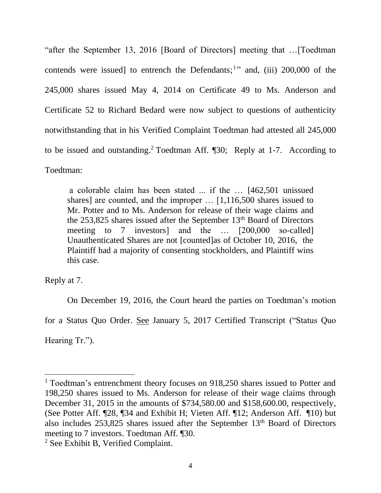"after the September 13, 2016 [Board of Directors] meeting that …[Toedtman contends were issued] to entrench the Defendants;<sup>1</sup>" and, (iii)  $200,000$  of the 245,000 shares issued May 4, 2014 on Certificate 49 to Ms. Anderson and Certificate 52 to Richard Bedard were now subject to questions of authenticity notwithstanding that in his Verified Complaint Toedtman had attested all 245,000 to be issued and outstanding. <sup>2</sup> Toedtman Aff. ¶30; Reply at 1-7. According to Toedtman:

a colorable claim has been stated ... if the … [462,501 unissued shares] are counted, and the improper … [1,116,500 shares issued to Mr. Potter and to Ms. Anderson for release of their wage claims and the  $253,825$  shares issued after the September  $13<sup>th</sup>$  Board of Directors meeting to 7 investors] and the … [200,000 so-called] Unauthenticated Shares are not [counted]as of October 10, 2016, the Plaintiff had a majority of consenting stockholders, and Plaintiff wins this case.

Reply at 7.

On December 19, 2016, the Court heard the parties on Toedtman's motion

for a Status Quo Order. See January 5, 2017 Certified Transcript ("Status Quo

Hearing Tr.").

<sup>&</sup>lt;sup>1</sup> Toedtman's entrenchment theory focuses on 918,250 shares issued to Potter and 198,250 shares issued to Ms. Anderson for release of their wage claims through December 31, 2015 in the amounts of \$734,580.00 and \$158,600.00, respectively, (See Potter Aff. ¶28, ¶34 and Exhibit H; Vieten Aff. ¶12; Anderson Aff. ¶10) but also includes  $253,825$  shares issued after the September  $13<sup>th</sup>$  Board of Directors meeting to 7 investors. Toedtman Aff. ¶30.

<sup>2</sup> See Exhibit B, Verified Complaint.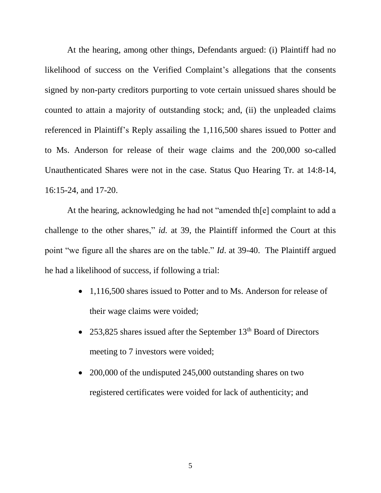At the hearing, among other things, Defendants argued: (i) Plaintiff had no likelihood of success on the Verified Complaint's allegations that the consents signed by non-party creditors purporting to vote certain unissued shares should be counted to attain a majority of outstanding stock; and, (ii) the unpleaded claims referenced in Plaintiff's Reply assailing the 1,116,500 shares issued to Potter and to Ms. Anderson for release of their wage claims and the 200,000 so-called Unauthenticated Shares were not in the case. Status Quo Hearing Tr. at 14:8-14, 16:15-24, and 17-20.

At the hearing, acknowledging he had not "amended th[e] complaint to add a challenge to the other shares," *id.* at 39, the Plaintiff informed the Court at this point "we figure all the shares are on the table." *Id*. at 39-40. The Plaintiff argued he had a likelihood of success, if following a trial:

- 1,116,500 shares issued to Potter and to Ms. Anderson for release of their wage claims were voided;
- 253,825 shares issued after the September 13<sup>th</sup> Board of Directors meeting to 7 investors were voided;
- 200,000 of the undisputed 245,000 outstanding shares on two registered certificates were voided for lack of authenticity; and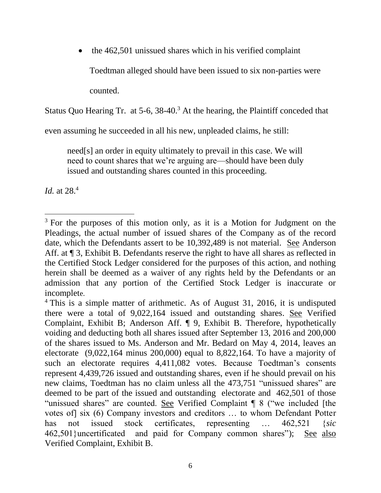the 462,501 unissued shares which in his verified complaint Toedtman alleged should have been issued to six non-parties were counted.

Status Quo Hearing Tr. at 5-6, 38-40.<sup>3</sup> At the hearing, the Plaintiff conceded that

even assuming he succeeded in all his new, unpleaded claims, he still:

need[s] an order in equity ultimately to prevail in this case. We will need to count shares that we're arguing are—should have been duly issued and outstanding shares counted in this proceeding.

*Id.* at 28.<sup>4</sup>

 $3$  For the purposes of this motion only, as it is a Motion for Judgment on the Pleadings, the actual number of issued shares of the Company as of the record date, which the Defendants assert to be 10,392,489 is not material. See Anderson Aff. at  $\P$  3, Exhibit B. Defendants reserve the right to have all shares as reflected in the Certified Stock Ledger considered for the purposes of this action, and nothing herein shall be deemed as a waiver of any rights held by the Defendants or an admission that any portion of the Certified Stock Ledger is inaccurate or incomplete.

<sup>&</sup>lt;sup>4</sup> This is a simple matter of arithmetic. As of August 31, 2016, it is undisputed there were a total of 9,022,164 issued and outstanding shares. See Verified Complaint, Exhibit B; Anderson Aff. ¶ 9, Exhibit B. Therefore, hypothetically voiding and deducting both all shares issued after September 13, 2016 and 200,000 of the shares issued to Ms. Anderson and Mr. Bedard on May 4, 2014, leaves an electorate (9,022,164 minus 200,000) equal to 8,822,164. To have a majority of such an electorate requires 4,411,082 votes. Because Toedtman's consents represent 4,439,726 issued and outstanding shares, even if he should prevail on his new claims, Toedtman has no claim unless all the 473,751 "unissued shares" are deemed to be part of the issued and outstanding electorate and 462,501 of those "unissued shares" are counted. See Verified Complaint ¶ 8 ("we included [the votes of] six (6) Company investors and creditors … to whom Defendant Potter has not issued stock certificates, representing … 462,521 {*sic*  462,501}uncertificated and paid for Company common shares"); See also Verified Complaint, Exhibit B.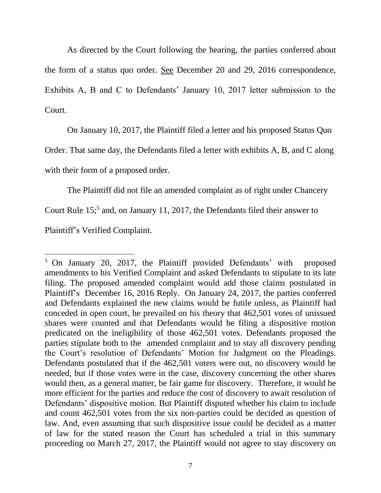As directed by the Court following the hearing, the parties conferred about the form of a status quo order. See December 20 and 29, 2016 correspondence, Exhibits A, B and C to Defendants' January 10, 2017 letter submission to the Court.

On January 10, 2017, the Plaintiff filed a letter and his proposed Status Quo

Order. That same day, the Defendants filed a letter with exhibits A, B, and C along

with their form of a proposed order.

The Plaintiff did not file an amended complaint as of right under Chancery

Court Rule 15;<sup>5</sup> and, on January 11, 2017, the Defendants filed their answer to

Plaintiff's Verified Complaint.

<sup>5</sup> On January 20, 2017, the Plaintiff provided Defendants' with proposed amendments to his Verified Complaint and asked Defendants to stipulate to its late filing. The proposed amended complaint would add those claims postulated in Plaintiff's December 16, 2016 Reply. On January 24, 2017, the parties conferred and Defendants explained the new claims would be futile unless, as Plaintiff had conceded in open court, he prevailed on his theory that 462,501 votes of unissued shares were counted and that Defendants would be filing a dispositive motion predicated on the ineligibility of those 462,501 votes. Defendants proposed the parties stipulate both to the amended complaint and to stay all discovery pending the Court's resolution of Defendants' Motion for Judgment on the Pleadings. Defendants postulated that if the 462,501 voters were out, no discovery would be needed, but if those votes were in the case, discovery concerning the other shares would then, as a general matter, be fair game for discovery. Therefore, it would be more efficient for the parties and reduce the cost of discovery to await resolution of Defendants' dispositive motion. But Plaintiff disputed whether his claim to include and count 462,501 votes from the six non-parties could be decided as question of law. And, even assuming that such dispositive issue could be decided as a matter of law for the stated reason the Court has scheduled a trial in this summary proceeding on March 27, 2017, the Plaintiff would not agree to stay discovery on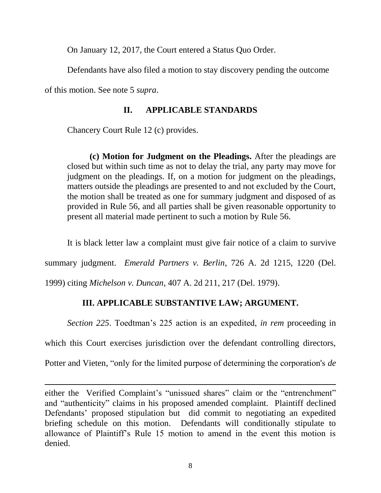On January 12, 2017, the Court entered a Status Quo Order.

Defendants have also filed a motion to stay discovery pending the outcome

of this motion. See note 5 *supra*.

 $\overline{a}$ 

## **II. APPLICABLE STANDARDS**

Chancery Court Rule 12 (c) provides.

**(c) Motion for Judgment on the Pleadings.** After the pleadings are closed but within such time as not to delay the trial, any party may move for judgment on the pleadings. If, on a motion for judgment on the pleadings, matters outside the pleadings are presented to and not excluded by the Court, the motion shall be treated as one for summary judgment and disposed of as provided in Rule 56, and all parties shall be given reasonable opportunity to present all material made pertinent to such a motion by Rule 56.

It is black letter law a complaint must give fair notice of a claim to survive

summary judgment. *Emerald Partners v. Berlin*, 726 A. 2d 1215, 1220 (Del.

1999) citing *Michelson v. Duncan*, 407 A. 2d 211, 217 (Del. 1979).

# **III. APPLICABLE SUBSTANTIVE LAW; ARGUMENT.**

*Section 225*. Toedtman's 225 action is an expedited, *in rem* proceeding in

which this Court exercises jurisdiction over the defendant controlling directors,

Potter and Vieten, "only for the limited purpose of determining the corporation's *de* 

either the Verified Complaint's "unissued shares" claim or the "entrenchment" and "authenticity" claims in his proposed amended complaint. Plaintiff declined Defendants' proposed stipulation but did commit to negotiating an expedited briefing schedule on this motion. Defendants will conditionally stipulate to allowance of Plaintiff's Rule 15 motion to amend in the event this motion is denied.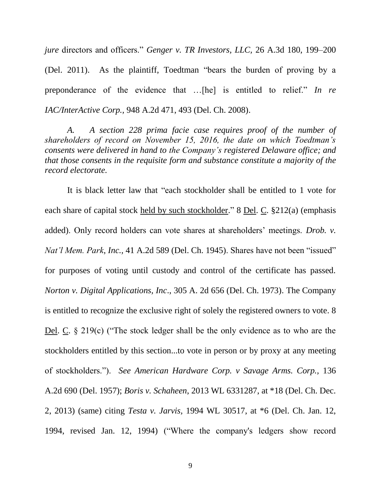*jure* directors and officers." *Genger v. TR Investors, LLC,* 26 A.3d 180, 199–200 (Del. 2011). As the plaintiff, Toedtman "bears the burden of proving by a preponderance of the evidence that …[he] is entitled to relief." *In re IAC/InterActive Corp.,* 948 A.2d 471, 493 (Del. Ch. 2008).

*A. A section 228 prima facie case requires proof of the number of shareholders of record on November 15, 2016, the date on which Toedtman's consents were delivered in hand to the Company's registered Delaware office; and that those consents in the requisite form and substance constitute a majority of the record electorate.*

It is black letter law that "each stockholder shall be entitled to 1 vote for each share of capital stock held by such stockholder." 8 Del. C. §212(a) (emphasis added). Only record holders can vote shares at shareholders' meetings. *Drob. v. Nat'l Mem. Park*, *Inc.,* 41 A.2d 589 (Del. Ch. 1945). Shares have not been "issued" for purposes of voting until custody and control of the certificate has passed. *Norton v. Digital Applications, Inc*., 305 A. 2d 656 (Del. Ch. 1973). The Company is entitled to recognize the exclusive right of solely the registered owners to vote. 8 Del. C. § 219(c) ("The stock ledger shall be the only evidence as to who are the stockholders entitled by this section...to vote in person or by proxy at any meeting of stockholders."). *See American Hardware Corp. v Savage Arms. Corp.,* 136 A.2d 690 (Del. 1957); *Boris v. Schaheen*, 2013 WL 6331287, at \*18 (Del. Ch. Dec. 2, 2013) (same) citing *Testa v. Jarvis,* 1994 WL 30517, at \*6 (Del. Ch. Jan. 12, 1994, revised Jan. 12, 1994) ("Where the company's ledgers show record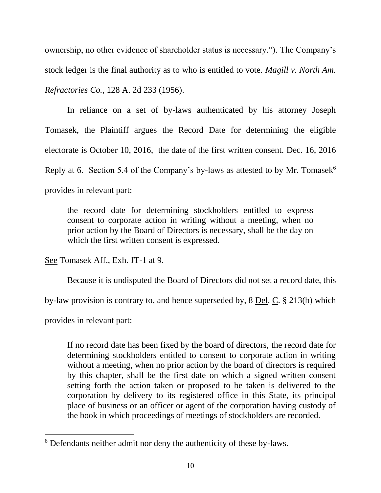ownership, no other evidence of shareholder status is necessary."). The Company's stock ledger is the final authority as to who is entitled to vote. *Magill v. North Am. Refractories Co.,* 128 A. 2d 233 (1956).

In reliance on a set of by-laws authenticated by his attorney Joseph Tomasek, the Plaintiff argues the Record Date for determining the eligible electorate is October 10, 2016, the date of the first written consent. Dec. 16, 2016 Reply at 6. Section 5.4 of the Company's by-laws as attested to by Mr. Tomasek $<sup>6</sup>$ </sup> provides in relevant part:

the record date for determining stockholders entitled to express consent to corporate action in writing without a meeting, when no prior action by the Board of Directors is necessary, shall be the day on which the first written consent is expressed.

See Tomasek Aff., Exh. JT-1 at 9.

Because it is undisputed the Board of Directors did not set a record date, this

by-law provision is contrary to, and hence superseded by, 8 Del. C. § 213(b) which

provides in relevant part:

 $\overline{a}$ 

If no record date has been fixed by the board of directors, the record date for determining stockholders entitled to consent to corporate action in writing without a meeting, when no prior action by the board of directors is required by this chapter, shall be the first date on which a signed written consent setting forth the action taken or proposed to be taken is delivered to the corporation by delivery to its registered office in this State, its principal place of business or an officer or agent of the corporation having custody of the book in which proceedings of meetings of stockholders are recorded.

<sup>6</sup> Defendants neither admit nor deny the authenticity of these by-laws.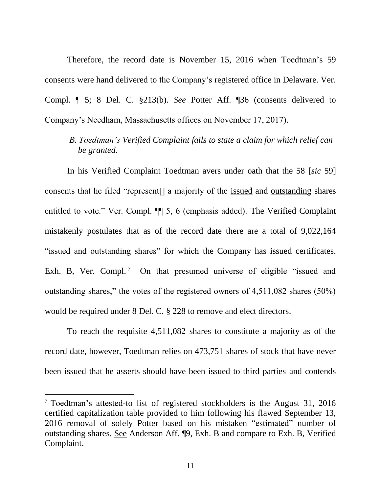Therefore, the record date is November 15, 2016 when Toedtman's 59 consents were hand delivered to the Company's registered office in Delaware. Ver. Compl. ¶ 5; 8 Del. C. §213(b). *See* Potter Aff. ¶36 (consents delivered to Company's Needham, Massachusetts offices on November 17, 2017).

*B. Toedtman's Verified Complaint fails to state a claim for which relief can be granted.*

In his Verified Complaint Toedtman avers under oath that the 58 [*sic* 59] consents that he filed "represent[] a majority of the issued and outstanding shares entitled to vote." Ver. Compl. ¶¶ 5, 6 (emphasis added). The Verified Complaint mistakenly postulates that as of the record date there are a total of 9,022,164 "issued and outstanding shares" for which the Company has issued certificates. Exh. B, Ver. Compl.<sup>7</sup> On that presumed universe of eligible "issued and outstanding shares," the votes of the registered owners of 4,511,082 shares (50%) would be required under 8 Del. C. § 228 to remove and elect directors.

To reach the requisite 4,511,082 shares to constitute a majority as of the record date, however, Toedtman relies on 473,751 shares of stock that have never been issued that he asserts should have been issued to third parties and contends

<sup>7</sup> Toedtman's attested-to list of registered stockholders is the August 31, 2016 certified capitalization table provided to him following his flawed September 13, 2016 removal of solely Potter based on his mistaken "estimated" number of outstanding shares. See Anderson Aff. ¶9, Exh. B and compare to Exh. B, Verified Complaint.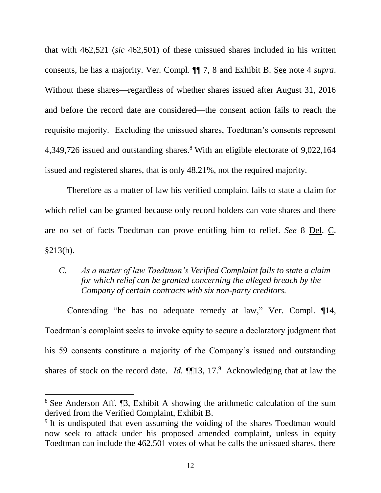that with 462,521 (*sic* 462,501) of these unissued shares included in his written consents, he has a majority. Ver. Compl. ¶¶ 7, 8 and Exhibit B. See note 4 *supra*. Without these shares—regardless of whether shares issued after August 31, 2016 and before the record date are considered—the consent action fails to reach the requisite majority. Excluding the unissued shares, Toedtman's consents represent 4,349,726 issued and outstanding shares. <sup>8</sup> With an eligible electorate of 9,022,164 issued and registered shares, that is only 48.21%, not the required majority.

Therefore as a matter of law his verified complaint fails to state a claim for which relief can be granted because only record holders can vote shares and there are no set of facts Toedtman can prove entitling him to relief. *See* 8 Del. C. §213(b).

## *C. As a matter of law Toedtman's Verified Complaint fails to state a claim for which relief can be granted concerning the alleged breach by the Company of certain contracts with six non-party creditors.*

Contending "he has no adequate remedy at law," Ver. Compl. ¶14, Toedtman's complaint seeks to invoke equity to secure a declaratory judgment that his 59 consents constitute a majority of the Company's issued and outstanding shares of stock on the record date. *Id.*  $\P$ [13, 17.<sup>9</sup> Acknowledging that at law the

<sup>8</sup> See Anderson Aff. ¶3, Exhibit A showing the arithmetic calculation of the sum derived from the Verified Complaint, Exhibit B.

<sup>&</sup>lt;sup>9</sup> It is undisputed that even assuming the voiding of the shares Toedtman would now seek to attack under his proposed amended complaint, unless in equity Toedtman can include the 462,501 votes of what he calls the unissued shares, there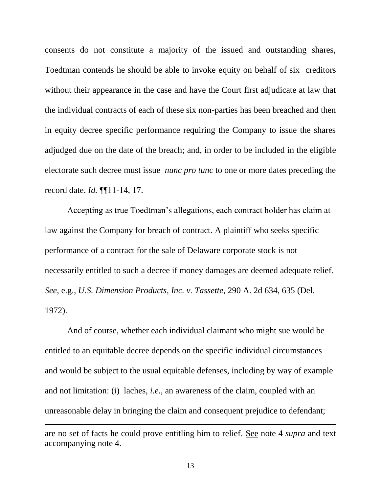consents do not constitute a majority of the issued and outstanding shares, Toedtman contends he should be able to invoke equity on behalf of six creditors without their appearance in the case and have the Court first adjudicate at law that the individual contracts of each of these six non-parties has been breached and then in equity decree specific performance requiring the Company to issue the shares adjudged due on the date of the breach; and, in order to be included in the eligible electorate such decree must issue *nunc pro tunc* to one or more dates preceding the record date. *Id.* ¶¶11-14, 17.

Accepting as true Toedtman's allegations, each contract holder has claim at law against the Company for breach of contract. A plaintiff who seeks specific performance of a contract for the sale of Delaware corporate stock is not necessarily entitled to such a decree if money damages are deemed adequate relief. *See*, e.g., *U.S. Dimension Products, Inc. v. Tassette*, 290 A. 2d 634, 635 (Del. 1972).

And of course, whether each individual claimant who might sue would be entitled to an equitable decree depends on the specific individual circumstances and would be subject to the usual equitable defenses, including by way of example and not limitation: (i) laches, *i.e.,* an awareness of the claim, coupled with an unreasonable delay in bringing the claim and consequent prejudice to defendant;

are no set of facts he could prove entitling him to relief. See note 4 *supra* and text accompanying note 4.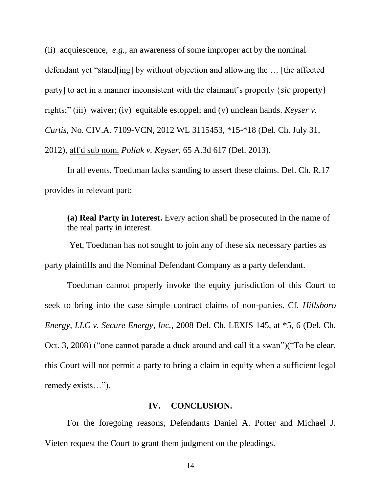(ii) acquiescence, *e.g.,* an awareness of some improper act by the nominal defendant yet "stand[ing] by without objection and allowing the … [the affected party] to act in a manner inconsistent with the claimant's properly {*sic* property} rights;" (iii) waiver; (iv) equitable estoppel; and (v) unclean hands. *Keyser v. Curtis*, No. CIV.A. 7109-VCN, 2012 WL 3115453, \*15-\*18 (Del. Ch. July 31, 2012), aff'd sub nom. *Poliak v. Keyser*, 65 A.3d 617 (Del. 2013).

In all events, Toedtman lacks standing to assert these claims. Del. Ch. R.17 provides in relevant part:

**(a) Real Party in Interest.** Every action shall be prosecuted in the name of the real party in interest.

Yet, Toedtman has not sought to join any of these six necessary parties as party plaintiffs and the Nominal Defendant Company as a party defendant.

Toedtman cannot properly invoke the equity jurisdiction of this Court to seek to bring into the case simple contract claims of non-parties. Cf. *Hillsboro Energy, LLC v. Secure Energy, Inc.*, 2008 Del. Ch. LEXIS 145, at \*5, 6 (Del. Ch. Oct. 3, 2008) ("one cannot parade a duck around and call it a swan")("To be clear, this Court will not permit a party to bring a claim in equity when a sufficient legal remedy exists…").

#### **IV. CONCLUSION.**

For the foregoing reasons, Defendants Daniel A. Potter and Michael J. Vieten request the Court to grant them judgment on the pleadings.